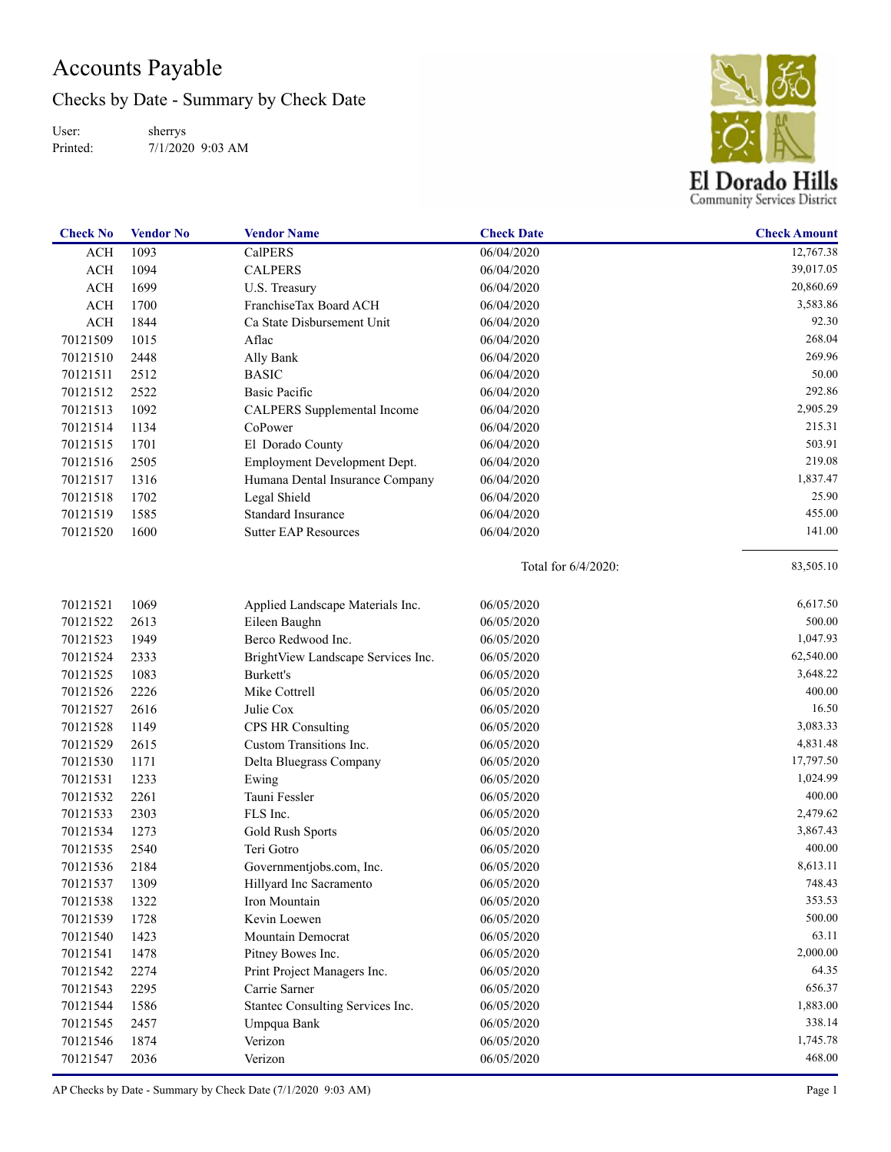## Accounts Payable

Checks by Date - Summary by Check Date

User: Printed: sherrys 7/1/2020 9:03 AM



| <b>Check No</b> | <b>Vendor No</b> | <b>Vendor Name</b>                 | <b>Check Date</b>   | <b>Check Amount</b> |
|-----------------|------------------|------------------------------------|---------------------|---------------------|
| <b>ACH</b>      | 1093             | <b>CalPERS</b>                     | 06/04/2020          | 12,767.38           |
| ACH             | 1094             | <b>CALPERS</b>                     | 06/04/2020          | 39,017.05           |
| <b>ACH</b>      | 1699             | U.S. Treasury                      | 06/04/2020          | 20,860.69           |
| ACH             | 1700             | FranchiseTax Board ACH             | 06/04/2020          | 3,583.86            |
| <b>ACH</b>      | 1844             | Ca State Disbursement Unit         | 06/04/2020          | 92.30               |
| 70121509        | 1015             | Aflac                              | 06/04/2020          | 268.04              |
| 70121510        | 2448             | Ally Bank                          | 06/04/2020          | 269.96              |
| 70121511        | 2512             | <b>BASIC</b>                       | 06/04/2020          | 50.00               |
| 70121512        | 2522             | <b>Basic Pacific</b>               | 06/04/2020          | 292.86              |
| 70121513        | 1092             | CALPERS Supplemental Income        | 06/04/2020          | 2,905.29            |
| 70121514        | 1134             | CoPower                            | 06/04/2020          | 215.31              |
| 70121515        | 1701             | El Dorado County                   | 06/04/2020          | 503.91              |
| 70121516        | 2505             | Employment Development Dept.       | 06/04/2020          | 219.08              |
| 70121517        | 1316             | Humana Dental Insurance Company    | 06/04/2020          | 1,837.47            |
| 70121518        | 1702             | Legal Shield                       | 06/04/2020          | 25.90               |
| 70121519        | 1585             | <b>Standard Insurance</b>          | 06/04/2020          | 455.00              |
| 70121520        | 1600             | <b>Sutter EAP Resources</b>        | 06/04/2020          | 141.00              |
|                 |                  |                                    | Total for 6/4/2020: | 83,505.10           |
| 70121521        | 1069             | Applied Landscape Materials Inc.   | 06/05/2020          | 6,617.50            |
| 70121522        | 2613             | Eileen Baughn                      | 06/05/2020          | 500.00              |
| 70121523        | 1949             | Berco Redwood Inc.                 | 06/05/2020          | 1,047.93            |
| 70121524        | 2333             | BrightView Landscape Services Inc. | 06/05/2020          | 62,540.00           |
| 70121525        | 1083             | Burkett's                          | 06/05/2020          | 3,648.22            |
| 70121526        | 2226             | Mike Cottrell                      | 06/05/2020          | 400.00              |
| 70121527        | 2616             | Julie Cox                          | 06/05/2020          | 16.50               |
| 70121528        | 1149             | <b>CPS HR Consulting</b>           | 06/05/2020          | 3,083.33            |
| 70121529        | 2615             | Custom Transitions Inc.            | 06/05/2020          | 4,831.48            |
| 70121530        | 1171             | Delta Bluegrass Company            | 06/05/2020          | 17,797.50           |
| 70121531        | 1233             | Ewing                              | 06/05/2020          | 1,024.99            |
| 70121532        | 2261             | Tauni Fessler                      | 06/05/2020          | 400.00              |
| 70121533        | 2303             | FLS Inc.                           | 06/05/2020          | 2,479.62            |
| 70121534        | 1273             | Gold Rush Sports                   | 06/05/2020          | 3,867.43            |
| 70121535        | 2540             | Teri Gotro                         | 06/05/2020          | 400.00              |
| 70121536        | 2184             | Governmentjobs.com, Inc.           | 06/05/2020          | 8,613.11            |
| 70121537        | 1309             | Hillyard Inc Sacramento            | 06/05/2020          | 748.43              |
| 70121538        | 1322             | Iron Mountain                      | 06/05/2020          | 353.53              |
| 70121539        | 1728             | Kevin Loewen                       | 06/05/2020          | 500.00              |
| 70121540        | 1423             | Mountain Democrat                  | 06/05/2020          | 63.11               |
| 70121541        | 1478             | Pitney Bowes Inc.                  | 06/05/2020          | 2,000.00            |
| 70121542        | 2274             | Print Project Managers Inc.        | 06/05/2020          | 64.35               |
| 70121543        | 2295             | Carrie Sarner                      | 06/05/2020          | 656.37              |
| 70121544        | 1586             | Stantec Consulting Services Inc.   | 06/05/2020          | 1,883.00            |
| 70121545        | 2457             | Umpqua Bank                        | 06/05/2020          | 338.14              |
| 70121546        | 1874             | Verizon                            | 06/05/2020          | 1,745.78            |
| 70121547        | 2036             | Verizon                            | 06/05/2020          | 468.00              |

AP Checks by Date - Summary by Check Date (7/1/2020 9:03 AM) Page 1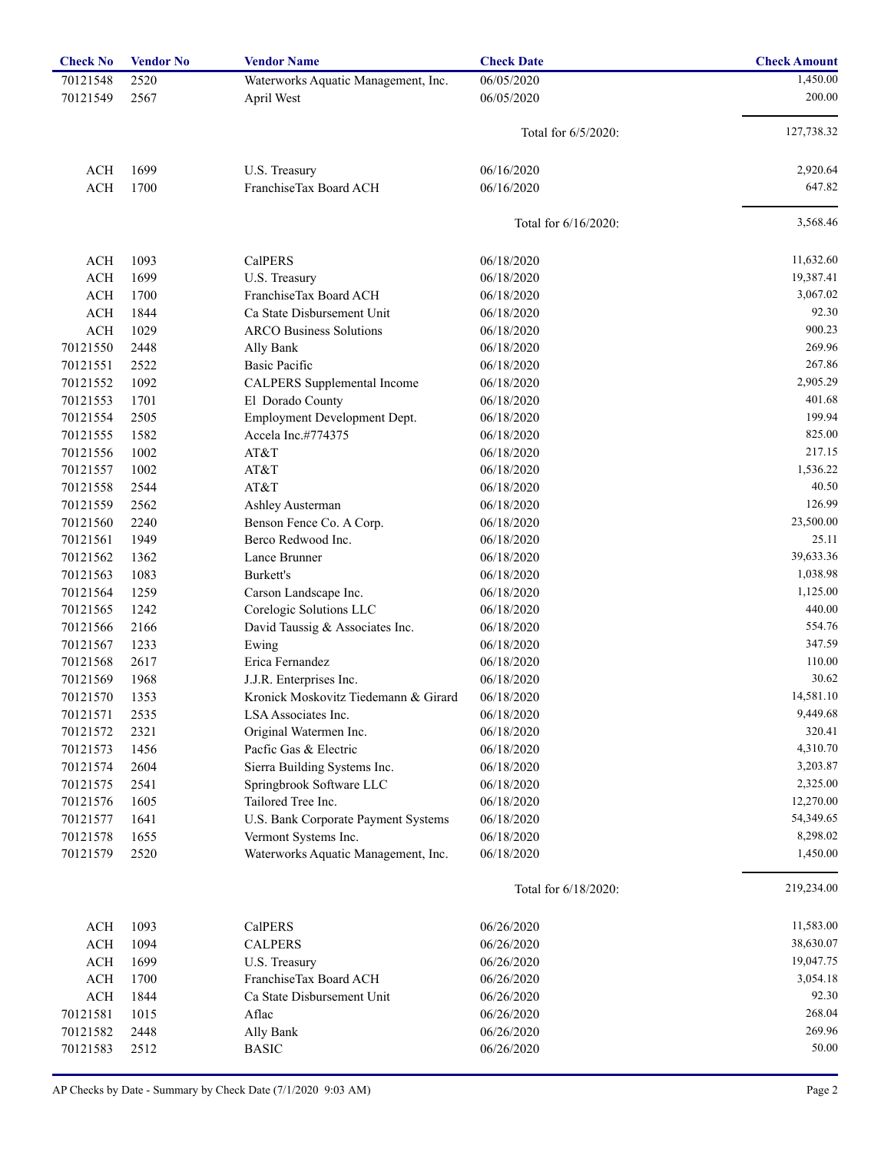| <b>Check No</b> | <b>Vendor No</b> | <b>Vendor Name</b>                   | <b>Check Date</b>    | <b>Check Amount</b> |
|-----------------|------------------|--------------------------------------|----------------------|---------------------|
| 70121548        | 2520             | Waterworks Aquatic Management, Inc.  | 06/05/2020           | 1,450.00            |
| 70121549        | 2567             | April West                           | 06/05/2020           | 200.00              |
|                 |                  |                                      |                      |                     |
|                 |                  |                                      | Total for 6/5/2020:  | 127,738.32          |
| ACH             | 1699             | U.S. Treasury                        | 06/16/2020           | 2,920.64            |
| <b>ACH</b>      | 1700             | FranchiseTax Board ACH               | 06/16/2020           | 647.82              |
|                 |                  |                                      | Total for 6/16/2020: | 3,568.46            |
| <b>ACH</b>      | 1093             | CalPERS                              | 06/18/2020           | 11,632.60           |
| <b>ACH</b>      | 1699             | U.S. Treasury                        | 06/18/2020           | 19,387.41           |
| <b>ACH</b>      | 1700             | FranchiseTax Board ACH               | 06/18/2020           | 3,067.02            |
| <b>ACH</b>      | 1844             | Ca State Disbursement Unit           | 06/18/2020           | 92.30               |
| <b>ACH</b>      | 1029             | <b>ARCO Business Solutions</b>       | 06/18/2020           | 900.23              |
| 70121550        | 2448             | Ally Bank                            | 06/18/2020           | 269.96              |
| 70121551        | 2522             | <b>Basic Pacific</b>                 | 06/18/2020           | 267.86              |
| 70121552        | 1092             | CALPERS Supplemental Income          | 06/18/2020           | 2,905.29            |
| 70121553        | 1701             | El Dorado County                     | 06/18/2020           | 401.68              |
| 70121554        | 2505             | Employment Development Dept.         | 06/18/2020           | 199.94              |
| 70121555        | 1582             | Accela Inc.#774375                   | 06/18/2020           | 825.00              |
| 70121556        | 1002             | AT&T                                 | 06/18/2020           | 217.15              |
| 70121557        | 1002             | AT&T                                 | 06/18/2020           | 1,536.22            |
| 70121558        | 2544             | AT&T                                 | 06/18/2020           | 40.50               |
| 70121559        | 2562             | Ashley Austerman                     | 06/18/2020           | 126.99              |
| 70121560        | 2240             | Benson Fence Co. A Corp.             | 06/18/2020           | 23,500.00           |
| 70121561        | 1949             | Berco Redwood Inc.                   | 06/18/2020           | 25.11               |
| 70121562        | 1362             | Lance Brunner                        | 06/18/2020           | 39,633.36           |
| 70121563        | 1083             | Burkett's                            | 06/18/2020           | 1,038.98            |
| 70121564        | 1259             | Carson Landscape Inc.                | 06/18/2020           | 1,125.00            |
| 70121565        | 1242             | Corelogic Solutions LLC              | 06/18/2020           | 440.00              |
| 70121566        | 2166             | David Taussig & Associates Inc.      | 06/18/2020           | 554.76              |
|                 | 1233             |                                      |                      | 347.59              |
| 70121567        |                  | Ewing<br>Erica Fernandez             | 06/18/2020           | 110.00              |
| 70121568        | 2617             |                                      | 06/18/2020           | 30.62               |
| 70121569        | 1968             | J.J.R. Enterprises Inc.              | 06/18/2020           |                     |
| 70121570        | 1353             | Kronick Moskovitz Tiedemann & Girard | 06/18/2020           | 14,581.10           |
| 70121571        | 2535             | LSA Associates Inc.                  | 06/18/2020           | 9,449.68            |
| 70121572        | 2321             | Original Watermen Inc.               | 06/18/2020           | 320.41              |
| 70121573        | 1456             | Pacfic Gas & Electric                | 06/18/2020           | 4,310.70            |
| 70121574        | 2604             | Sierra Building Systems Inc.         | 06/18/2020           | 3,203.87            |
| 70121575        | 2541             | Springbrook Software LLC             | 06/18/2020           | 2,325.00            |
| 70121576        | 1605             | Tailored Tree Inc.                   | 06/18/2020           | 12,270.00           |
| 70121577        | 1641             | U.S. Bank Corporate Payment Systems  | 06/18/2020           | 54,349.65           |
| 70121578        | 1655             | Vermont Systems Inc.                 | 06/18/2020           | 8,298.02            |
| 70121579        | 2520             | Waterworks Aquatic Management, Inc.  | 06/18/2020           | 1,450.00            |
|                 |                  |                                      | Total for 6/18/2020: | 219,234.00          |
| ACH             | 1093             | CalPERS                              | 06/26/2020           | 11,583.00           |
| ACH             | 1094             | <b>CALPERS</b>                       | 06/26/2020           | 38,630.07           |
| $\rm ACH$       | 1699             | U.S. Treasury                        | 06/26/2020           | 19,047.75           |
| $\rm ACH$       | 1700             | FranchiseTax Board ACH               | 06/26/2020           | 3,054.18            |
| $\rm ACH$       | 1844             | Ca State Disbursement Unit           | 06/26/2020           | 92.30               |
| 70121581        | 1015             | Aflac                                | 06/26/2020           | 268.04              |
| 70121582        | 2448             | Ally Bank                            | 06/26/2020           | 269.96              |
| 70121583        | 2512             | <b>BASIC</b>                         | 06/26/2020           | 50.00               |
|                 |                  |                                      |                      |                     |